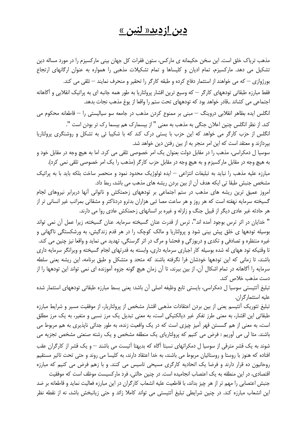## <u>دين ازديد« لنين »</u>

مذهب تریاک خلق است. این سخن حکیمانه ی مارکس، ستون فقرات کل جهان بینی مارکسیزم را در مورد مساله دین تشکیل می دهد. مارکسیزم، تمام ادیان و کلیساها و تمام تشکیلات مذهبی را همواره به عنوان ارگانهای ارتجاع بورژوازی – که می خواهند از استثمار دفاع کرده و طبقه کارگر را تحقیر و منحرف نمایند – تلقی می کند. فقط مبارزه طبقاتی تودههای کارگر — که وسیع ترین اقشار پرولتاریا به طور همه جانبه ای به پراتیک انقلابی و آگاهانه اجتماعی می کشاند .,قادر خواهد بود که تودههای تحت ستم را واقعا از یوغ مذهب نجات بدهد. انگلس ایده بظاهر انقلابی دروینگ – مبنی بر ممنوع کردن مذهب در جامعه سو سیالیستی را – قاطعانه محکوم می كند. از نظر انگلس چنين اعلان جنگي به مذهب به معنى " از بيسمارک هم بيسما رک تر بودن است ". انگلس از حزب کارگر می خواهد که این حزب با پستی درک کند که با شکیبا ئی به تشکل و روشنگری پرولتاریا بپردازند و معتقد است که این امر منجر به از بین رفتن دین خواهد شد. سوسیا ل دمکراسی، مذهب را در مقابل دولت بعنوان یک امر خصوصی تلقی می کرد. اما به هیچ وجه در مقابل خود و به هیچ وجه در مقابل مارکسیزم و به هیچ وجه در مقابل حزب کارگر (مذهب را یک امر خصوصی تلقی نمی کرد). مبارزه علیه مذهب را نباید به تبلیغات انتزاعی – ایده ئولوژیک محدود نمود و منحصر ساخت بلکه باید با به پراتیک مشخص جنبش طبقا تي ايكه هدف آن از بين بردن ريشه هاي مذهب مي باشد، ربط داد. امروز عمیق ترین ریشه های مذهب در ستم اجتماعی بر تودههای زحمتکش و ناتوانی آنها دربرابر نیروهای لجام گسیخته سرمایه نهفته است که هر روز و هر ساعت مصا ئبی هزاران بدترو دردناکتر و مشقاتی بمراتب غیر انسانی تر از هر حادثه غیر عادی دیگر از قبیل جنگ و زلزله و غیره بر انسانهای زحمتکش عادی روا می دارند. " خدایان در اثر ترس بوجود آمده اند"، ترس از قدرت عنان گسیخته سرمایه. عنان گسیخته، زیرا عمل آن نمی تواند بوسیله تودهها ی خلق پیش بینی شود و پرولتاریا و مالک کوچک را در هر قدم زندگیش، به ورشکستگی ناگهانی و غیره منتظره و تصادفی و تکدی و درپوزگی و فحشا و مرگ در اثر گرسنگی، تهدید می نماید و واقعا نیز چنین می کند.

تا وقتیکه تود ههای له شده بوسیله کار اجباری سرمایه داری، وابسته به قدرتهای لجام گسیخته و ویرانگر سرمایه داری باشند، تا زمانی که این تودهها خودشان فرا نگرفته باشند که متحد و متشکل و طبق برنامه، این ریشه یعنی سلطه سرمایه را آگاهانه در تمام اشکال آن، از بین ببرند، تا آن زمان هیچ گونه جزوه آموزنده ای نمی تواند این تودهها را از دست مذهب خلاص كند.

تبليغ آتئيستي سوسيا ل دمكراسي، بايستي تابع وظيفه اصلي آن باشد: يعني بسط مبارزه طبقاتي تودههاي استثمار شده عليه استثمار گران.

تبلیغ تئوریک آتئیسم یعنی از بین بردن اعتقادات مذهبی اقشار مشخص از پرولتاریار، از موفقیت مسیر و شرایط مبارزه طبقاتی این اقشار، به معنی طرز تفکر غیر دیالکتیکی است، به معنی تبدیل یک مرز نسبی و متغیر، به یک مرز مطلق است، به معنی از هم گسستن قهر آمیز چیزی است که در یک وافعیت زنده، به طور جدائی ناپذیری به هم مربوط می باشند. مثا لی می آوریم : فرض می کنیم که پرولتاریای یک منطقه مشخص و یک رشته صنعتی مشخص تجزیه می شوند به یک قشر مترقی از سوسیا ل دمکراتهای نسبتا آگاه که بدیهتا آتیست می باشند — و یک قشر از کارگران عقب افتاده که هنوز با روستا و روستائیان مربوط می باشند، به خدا اعتقاد دارند، به کلیسا می روند و حتی تحت تاثیر مستقیم روحانیون ده قرار دارند و فرضا یک اتحادیه کارگری مسیحی تاسیس می کنند. و با زهم فرض می کنیم که مبارزه اقتصادی، در این منطقه به یک اعتصاب انجامیده است. در چنین حالتی، فرد مارکسیست موظف است که موفقیت جنبش اعتصابی را مهم تر از هر چیز بداند، با قاطعیت علیه انشعاب کارگران در این مبارزه فعالیت نماید و قاطعانه بر ضد این انشعاب مبارزه کند. در چنین شرایطی تبلیغ آتئیستی می تواند کاملا زائد و حتی زیانبخش باشد، نه از نقطه نظر